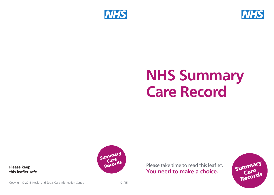



# **NHS Summary Care Record**



Please take time to read this leaflet. **You need to make a choice.**



**Please keep this leaflet safe**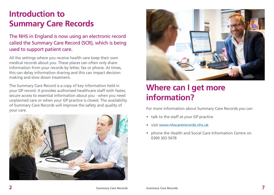### **Introduction to Summary Care Records**

The NHS in England is now using an electronic record called the Summary Care Record (SCR), which is being used to support patient care.

All the settings where you receive health care keep their own medical records about you. These places can often only share information from your records by letter, fax or phone. At times, this can delay information sharing and this can impact decision making and slow down treatment.

The Summary Care Record is a copy of key information held in your GP record. It provides authorised healthcare staff with faster, secure access to essential information about you - when you need unplanned care or when your GP practice is closed. The availability of Summary Care Records will improve the safety and quality of your care.





#### **Where can I get more information?**

For more information about Summary Care Records you can

- talk to the staff at your GP practice
- visit www.nhscarerecords.nhs.uk
- phone the Health and Social Care Information Centre on 0300 303 5678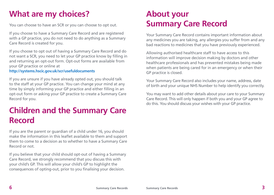# **What are my choices?**

You can choose to have an SCR or you can choose to opt out.

If you choose to have a Summary Care Record and are registered with a GP practice, you do not need to do anything as a Summary Care Record is created for you.

If you choose to opt out of having a Summary Care Record and do not want a SCR, you need to let your GP practice know by filling in and returning an opt-out form. Opt-out forms are available from your GP practice or online at

#### **http://systems.hscic.gov.uk/scr/usefuldocuments**

If you are unsure if you have already opted out, you should talk to the staff at your GP practice. You can change your mind at any time by simply informing your GP practice and either filling in an opt-out form or asking your GP practice to create a Summary Care Record for you.

#### **Children and the Summary Care Record**

If you are the parent or guardian of a child under 16, you should make the information in this leaflet available to them and support them to come to a decision as to whether to have a Summary Care Record or not.

If you believe that your child should opt-out of having a Summary Care Record, we strongly recommend that you discuss this with your child's GP. This will allow your child's GP to highlight the consequences of opting-out, prior to you finalising your decision.

### **About your Summary Care Record**

Your Summary Care Record contains important information about any medicines you are taking, any allergies you suffer from and any bad reactions to medicines that you have previously experienced.

Allowing authorised healthcare staff to have access to this information will improve decision making by doctors and other healthcare professionals and has prevented mistakes being made when patients are being cared for in an emergency or when their GP practice is closed.

Your Summary Care Record also includes your name, address, date of birth and your unique NHS Number to help identify you correctly.

You may want to add other details about your care to your Summary Care Record. This will only happen if both you and your GP agree to do this. You should discuss your wishes with your GP practice.